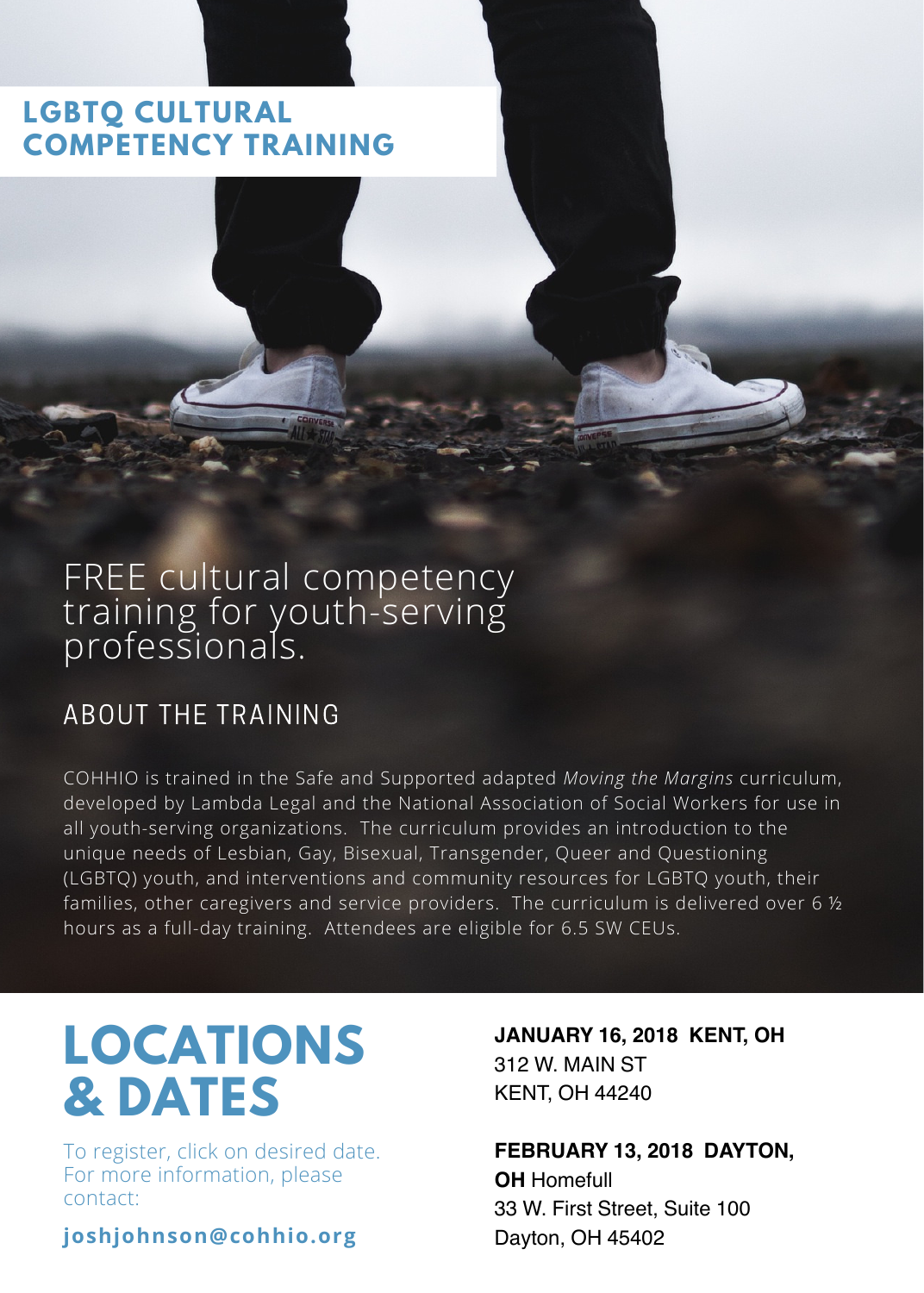#### **LGBTQ CULTURAL COMPETENCY TRAINING**

### FREE cultural competency training for youth-serving professionals.

#### ABOUT THE TRAINING

COHHIO is trained in the Safe and Supported adapted *Moving the Margins* curriculum, developed by Lambda Legal and the National Association of Social Workers for use in all youth-serving organizations. The curriculum provides an introduction to the unique needs of Lesbian, Gay, Bisexual, Transgender, Queer and Questioning (LGBTQ) youth, and interventions and community resources for LGBTQ youth, their families, other caregivers and service providers. The curriculum is delivered over 6  $\frac{1}{2}$ hours as a full-day training. Attendees are eligible for 6.5 SW CEUs.

## **LOCATIONS & DATES**

To register, click on desired date. For more information, please contact:

**joshjohnson@cohhio.org**

 **[JANUARY](https://www.eventbrite.com/e/safe-and-supported-trainingkentohio-tickets-39704649676) 16, 2018 KENT, OH**  312 W. MAIN ST KENT, OH 44240

 **[FEBRUARY](https://www.eventbrite.com/e/safe-and-supported-trainingdaytonohio-tickets-39699127158) 13, 2018 DAYTON,** 33 W. First Street, Suite 100 **OH** Homefull Dayton, OH 45402